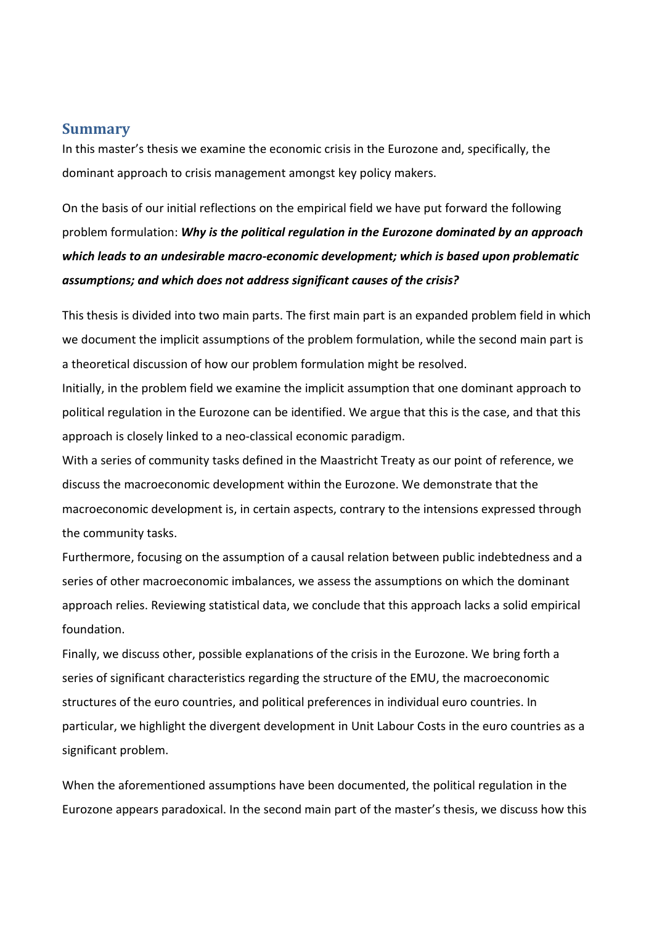## **Summary**

In this master's thesis we examine the economic crisis in the Eurozone and, specifically, the dominant approach to crisis management amongst key policy makers.

On the basis of our initial reflections on the empirical field we have put forward the following problem formulation: *Why is the political regulation in the Eurozone dominated by an approach which leads to an undesirable macro-economic development; which is based upon problematic assumptions; and which does not address significant causes of the crisis?*

This thesis is divided into two main parts. The first main part is an expanded problem field in which we document the implicit assumptions of the problem formulation, while the second main part is a theoretical discussion of how our problem formulation might be resolved.

Initially, in the problem field we examine the implicit assumption that one dominant approach to political regulation in the Eurozone can be identified. We argue that this is the case, and that this approach is closely linked to a neo-classical economic paradigm.

With a series of community tasks defined in the Maastricht Treaty as our point of reference, we discuss the macroeconomic development within the Eurozone. We demonstrate that the macroeconomic development is, in certain aspects, contrary to the intensions expressed through the community tasks.

Furthermore, focusing on the assumption of a causal relation between public indebtedness and a series of other macroeconomic imbalances, we assess the assumptions on which the dominant approach relies. Reviewing statistical data, we conclude that this approach lacks a solid empirical foundation.

Finally, we discuss other, possible explanations of the crisis in the Eurozone. We bring forth a series of significant characteristics regarding the structure of the EMU, the macroeconomic structures of the euro countries, and political preferences in individual euro countries. In particular, we highlight the divergent development in Unit Labour Costs in the euro countries as a significant problem.

When the aforementioned assumptions have been documented, the political regulation in the Eurozone appears paradoxical. In the second main part of the master's thesis, we discuss how this